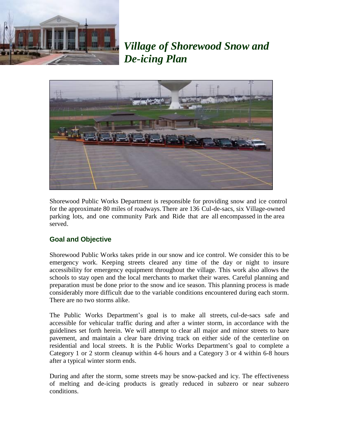

*Village of Shorewood Snow and De-icing Plan*



Shorewood Public Works Department is responsible for providing snow and ice control for the approximate 80 miles of roadways. There are 136 Cul-de-sacs, six Village-owned parking lots, and one community Park and Ride that are all encompassed in the area served.

## **Goal and Objective**

Shorewood Public Works takes pride in our snow and ice control. We consider this to be emergency work. Keeping streets cleared any time of the day or night to insure accessibility for emergency equipment throughout the village. This work also allows the schools to stay open and the local merchants to market their wares. Careful planning and preparation must be done prior to the snow and ice season. This planning process is made considerably more difficult due to the variable conditions encountered during each storm. There are no two storms alike.

The Public Works Department's goal is to make all streets, cul-de-sacs safe and accessible for vehicular traffic during and after a winter storm, in accordance with the guidelines set forth herein. We will attempt to clear all major and minor streets to bare pavement, and maintain a clear bare driving track on either side of the centerline on residential and local streets. It is the Public Works Department's goal to complete a Category 1 or 2 storm cleanup within 4-6 hours and a Category 3 or 4 within 6-8 hours after a typical winter storm ends.

During and after the storm, some streets may be snow-packed and icy. The effectiveness of melting and de-icing products is greatly reduced in subzero or near subzero conditions.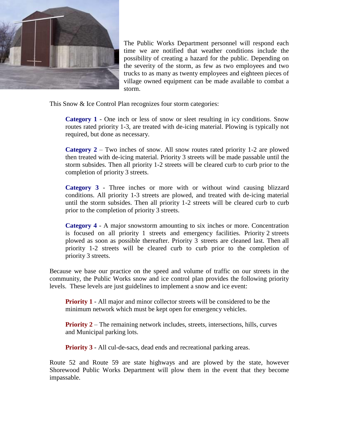

The Public Works Department personnel will respond each time we are notified that weather conditions include the possibility of creating a hazard for the public. Depending on the severity of the storm, as few as two employees and two trucks to as many as twenty employees and eighteen pieces of village owned equipment can be made available to combat a storm.

This Snow & Ice Control Plan recognizes four storm categories:

**Category 1** - One inch or less of snow or sleet resulting in icy conditions. Snow routes rated priority 1-3, are treated with de-icing material. Plowing is typically not required, but done as necessary.

**Category 2** – Two inches of snow. All snow routes rated priority 1-2 are plowed then treated with de-icing material. Priority 3 streets will be made passable until the storm subsides. Then all priority 1-2 streets will be cleared curb to curb prior to the completion of priority 3 streets.

**Category 3** - Three inches or more with or without wind causing blizzard conditions. All priority 1-3 streets are plowed, and treated with de-icing material until the storm subsides. Then all priority 1-2 streets will be cleared curb to curb prior to the completion of priority 3 streets.

**Category 4** - A major snowstorm amounting to six inches or more. Concentration is focused on all priority 1 streets and emergency facilities. Priority 2 streets plowed as soon as possible thereafter. Priority 3 streets are cleaned last. Then all priority 1-2 streets will be cleared curb to curb prior to the completion of priority 3 streets.

Because we base our practice on the speed and volume of traffic on our streets in the community, the Public Works snow and ice control plan provides the following priority levels. These levels are just guidelines to implement a snow and ice event:

**Priority 1** - All major and minor collector streets will be considered to be the minimum network which must be kept open for emergency vehicles.

**Priority 2** – The remaining network includes, streets, intersections, hills, curves and Municipal parking lots.

**Priority 3** - All cul-de-sacs, dead ends and recreational parking areas.

Route 52 and Route 59 are state highways and are plowed by the state, however Shorewood Public Works Department will plow them in the event that they become impassable.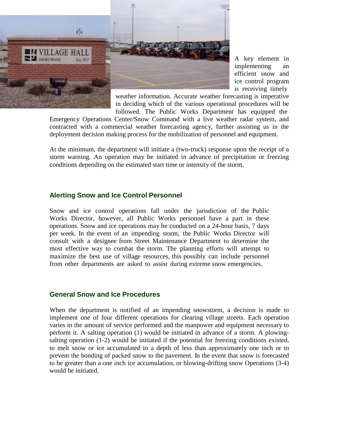

A key element in implementing an efficient snow and ice control program is receiving timely

weather information. Accurate weather forecasting is imperative in deciding which of the various operational procedures will be followed. The Public Works Department has equipped the

Emergency Operations Center/Snow Command with a live weather radar system, and contracted with a commercial weather forecasting agency, further assisting us in the deployment decision making process for the mobilization of personnel and equipment.

At the minimum, the department will initiate a (two-truck) response upon the receipt of a storm warning. An operation may be initiated in advance of precipitation or freezing conditions depending on the estimated start time or intensity of the storm.

#### **Alerting Snow and Ice Control Personnel**

Snow and ice control operations fall under the jurisdiction of the Public Works Director, however, all Public Works personnel have a part in these operations. Snow and ice operations may be conducted on a 24-hour basis, 7 days per week. In the event of an impending storm, the Public Works Director will consult with a designee from Street Maintenance Department to determine the most effective way to combat the storm. The planning efforts will attempt to maximize the best use of village resources, this possibly can include personnel from other departments are asked to assist during extreme snow emergencies.

#### **General Snow and Ice Procedures**

When the department is notified of an impending snowstorm, a decision is made to implement one of four different operations for clearing village streets. Each operation varies in the amount of service performed and the manpower and equipment necessary to perform it. A salting operation (1) would be initiated in advance of a storm. A plowingsalting operation (1-2) would be initiated if the potential for freezing conditions existed, to melt snow or ice accumulated to a depth of less than approximately one inch or to prevent the bonding of packed snow to the pavement. In the event that snow is forecasted to be greater than a one inch ice accumulation, or blowing-drifting snow Operations (3-4) would be initiated.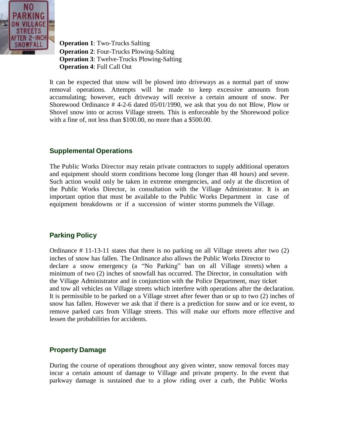

**Operation 1**: Two-Trucks Salting **Operation 2**: Four-Trucks Plowing-Salting **Operation 3**: Twelve-Trucks Plowing-Salting **Operation 4**: Full Call Out

It can be expected that snow will be plowed into driveways as a normal part of snow removal operations. Attempts will be made to keep excessive amounts from accumulating; however, each driveway will receive a certain amount of snow. Per Shorewood Ordinance # 4-2-6 dated 05/01/1990, we ask that you do not Blow, Plow or Shovel snow into or across Village streets. This is enforceable by the Shorewood police with a fine of, not less than \$100.00, no more than a \$500.00.

## **Supplemental Operations**

The Public Works Director may retain private contractors to supply additional operators and equipment should storm conditions become long (longer than 48 hours) and severe. Such action would only be taken in extreme emergencies, and only at the discretion of the Public Works Director, in consultation with the Village Administrator. It is an important option that must be available to the Public Works Department in case of equipment breakdowns or if a succession of winter storms pummels the Village.

# **Parking Policy**

Ordinance # 11-13-11 states that there is no parking on all Village streets after two (2) inches of snow has fallen. The Ordinance also allows the Public Works Director to declare a snow emergency (a "No Parking" ban on all Village streets) when a minimum of two (2) inches of snowfall has occurred. The Director, in consultation with the Village Administrator and in conjunction with the Police Department, may ticket and tow all vehicles on Village streets which interfere with operations after the declaration. It is permissible to be parked on a Village street after fewer than or up to two (2) inches of snow has fallen. However we ask that if there is a prediction for snow and or ice event, to remove parked cars from Village streets. This will make our efforts more effective and lessen the probabilities for accidents.

## **Property Damage**

During the course of operations throughout any given winter, snow removal forces may incur a certain amount of damage to Village and private property. In the event that parkway damage is sustained due to a plow riding over a curb, the Public Works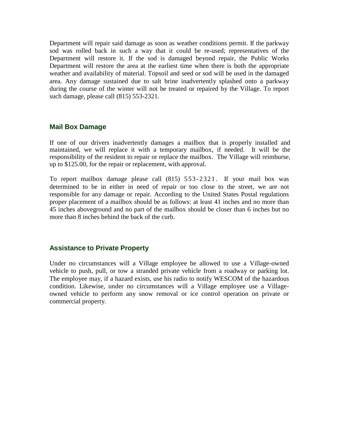Department will repair said damage as soon as weather conditions permit. If the parkway sod was rolled back in such a way that it could be re-used; representatives of the Department will restore it. If the sod is damaged beyond repair, the Public Works Department will restore the area at the earliest time when there is both the appropriate weather and availability of material. Topsoil and seed or sod will be used in the damaged area. Any damage sustained due to salt brine inadvertently splashed onto a parkway during the course of the winter will not be treated or repaired by the Village. To report such damage, please call (815) 553-2321.

### **Mail Box Damage**

If one of our drivers inadvertently damages a mailbox that is properly installed and maintained, we will replace it with a temporary mailbox, if needed. It will be the responsibility of the resident to repair or replace the mailbox. The Village will reimburse, up to \$125.00, for the repair or replacement, with approval.

To report mailbox damage please call (815) 553-2321. If your mail box was determined to be in either in need of repair or too close to the street, we are not responsible for any damage or repair. According to the United States Postal regulations proper placement of a mailbox should be as follows: at least 41 inches and no more than 45 inches aboveground and no part of the mailbox should be closer than 6 inches but no more than 8 inches behind the back of the curb.

### **Assistance to Private Property**

Under no circumstances will a Village employee be allowed to use a Village-owned vehicle to push, pull, or tow a stranded private vehicle from a roadway or parking lot. The employee may, if a hazard exists, use his radio to notify WESCOM of the hazardous condition. Likewise, under no circumstances will a Village employee use a Villageowned vehicle to perform any snow removal or ice control operation on private or commercial property.